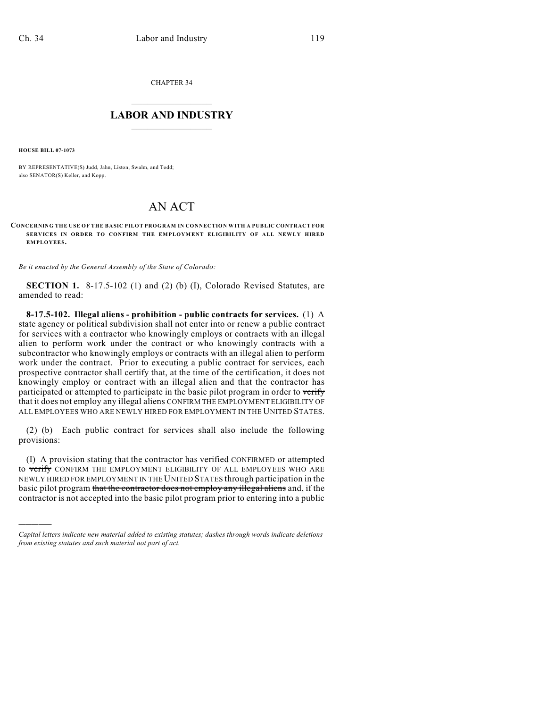CHAPTER 34

## $\mathcal{L}_\text{max}$  . The set of the set of the set of the set of the set of the set of the set of the set of the set of the set of the set of the set of the set of the set of the set of the set of the set of the set of the set **LABOR AND INDUSTRY**  $\frac{1}{\sqrt{2}}$  ,  $\frac{1}{\sqrt{2}}$  ,  $\frac{1}{\sqrt{2}}$  ,  $\frac{1}{\sqrt{2}}$  ,  $\frac{1}{\sqrt{2}}$  ,  $\frac{1}{\sqrt{2}}$

**HOUSE BILL 07-1073**

)))))

BY REPRESENTATIVE(S) Judd, Jahn, Liston, Swalm, and Todd; also SENATOR(S) Keller, and Kopp.

## AN ACT

## **CONCERNING THE USE OF THE BASIC PILOT PROGRAM IN CONNECTION WITH A PUBLIC CONTRACT FOR SERVICES IN ORDER TO CONFIRM THE EMPLOYMENT ELIGIBILITY OF ALL NEWLY HIRED EMPLOYEES.**

*Be it enacted by the General Assembly of the State of Colorado:*

**SECTION 1.** 8-17.5-102 (1) and (2) (b) (I), Colorado Revised Statutes, are amended to read:

**8-17.5-102. Illegal aliens - prohibition - public contracts for services.** (1) A state agency or political subdivision shall not enter into or renew a public contract for services with a contractor who knowingly employs or contracts with an illegal alien to perform work under the contract or who knowingly contracts with a subcontractor who knowingly employs or contracts with an illegal alien to perform work under the contract. Prior to executing a public contract for services, each prospective contractor shall certify that, at the time of the certification, it does not knowingly employ or contract with an illegal alien and that the contractor has participated or attempted to participate in the basic pilot program in order to verify that it does not employ any illegal aliens CONFIRM THE EMPLOYMENT ELIGIBILITY OF ALL EMPLOYEES WHO ARE NEWLY HIRED FOR EMPLOYMENT IN THE UNITED STATES.

(2) (b) Each public contract for services shall also include the following provisions:

(I) A provision stating that the contractor has verified CONFIRMED or attempted to verify CONFIRM THE EMPLOYMENT ELIGIBILITY OF ALL EMPLOYEES WHO ARE NEWLY HIRED FOR EMPLOYMENT IN THE UNITED STATES through participation in the basic pilot program that the contractor does not employ any illegal aliens and, if the contractor is not accepted into the basic pilot program prior to entering into a public

*Capital letters indicate new material added to existing statutes; dashes through words indicate deletions from existing statutes and such material not part of act.*